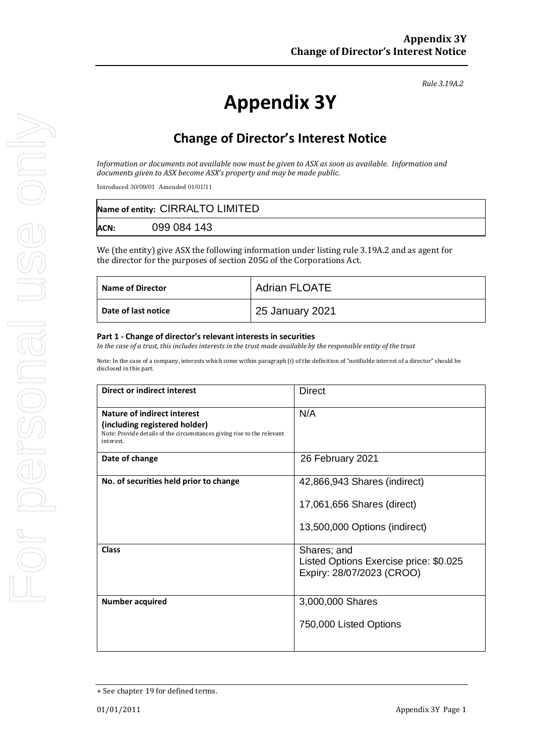*Rule 3.19A.2*

# **Appendix 3Y**

## **Change of Director's Interest Notice**

*Information or documents not available now must be given to ASX as soon as available. Information and documents given to ASX become ASX's property and may be made public.*

Introduced 30/09/01 Amended 01/01/11

| Name of entity: CIRRALTO LIMITED |             |  |
|----------------------------------|-------------|--|
| <b>ACN:</b>                      | 099 084 143 |  |

We (the entity) give ASX the following information under listing rule 3.19A.2 and as agent for the director for the purposes of section 205G of the Corporations Act.

| <b>Name of Director</b> | <b>Adrian FLOATE</b> |
|-------------------------|----------------------|
| Date of last notice     | 25 January 2021      |

#### **Part 1 - Change of director's relevant interests in securities**

*In the case of a trust, this includes interests in the trust made available by the responsible entity of the trust*

Note: In the case of a company, interests which come within paragraph (i) of the definition of "notifiable interest of a director" should be disclosed in this part.

| <b>Direct or indirect interest</b>                                                                                                                  | <b>Direct</b>                                                                      |  |
|-----------------------------------------------------------------------------------------------------------------------------------------------------|------------------------------------------------------------------------------------|--|
| Nature of indirect interest<br>(including registered holder)<br>Note: Provide details of the circumstances giving rise to the relevant<br>interest. | N/A                                                                                |  |
| Date of change                                                                                                                                      | 26 February 2021                                                                   |  |
| No. of securities held prior to change                                                                                                              | 42,866,943 Shares (indirect)<br>17,061,656 Shares (direct)                         |  |
|                                                                                                                                                     | 13,500,000 Options (indirect)                                                      |  |
| Class                                                                                                                                               | Shares; and<br>Listed Options Exercise price: \$0.025<br>Expiry: 28/07/2023 (CROO) |  |
| <b>Number acquired</b>                                                                                                                              | 3,000,000 Shares<br>750,000 Listed Options                                         |  |

<sup>+</sup> See chapter 19 for defined terms.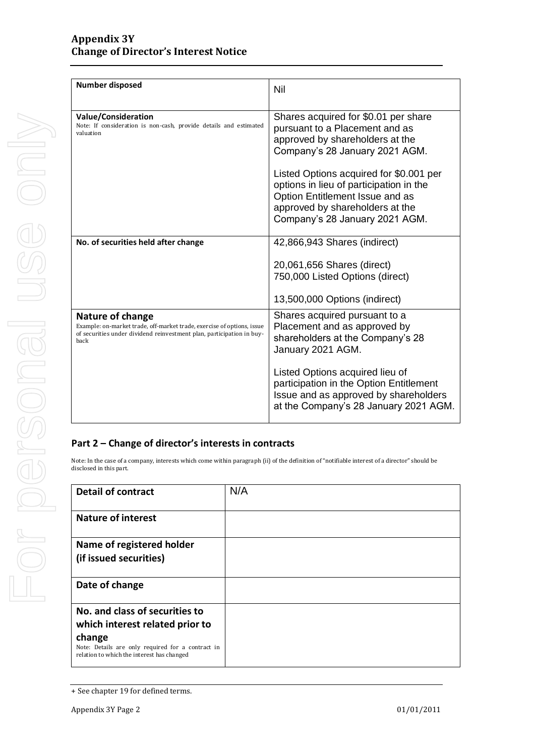| <b>Number dispos</b>                                                |
|---------------------------------------------------------------------|
| <b>Value/Conside</b><br>Note: If considerati<br>valuation           |
| No. of securitie                                                    |
| Nature of ch<br>Example: on-market<br>of securities under o<br>back |
| Part 2 - Chan                                                       |
| Note: In the case of a c<br>disclosed in this part.                 |
| Detail of con                                                       |
| Nature of int                                                       |
| Name of reg<br>(if issued sed                                       |
| Date of char                                                        |

| <b>Number disposed</b>                                                                                                                                                      | Nil                                                                                                                                                                                                                                                                                                                                       |
|-----------------------------------------------------------------------------------------------------------------------------------------------------------------------------|-------------------------------------------------------------------------------------------------------------------------------------------------------------------------------------------------------------------------------------------------------------------------------------------------------------------------------------------|
| Value/Consideration<br>Note: If consideration is non-cash, provide details and estimated<br>valuation                                                                       | Shares acquired for \$0.01 per share<br>pursuant to a Placement and as<br>approved by shareholders at the<br>Company's 28 January 2021 AGM.<br>Listed Options acquired for \$0.001 per<br>options in lieu of participation in the<br>Option Entitlement Issue and as<br>approved by shareholders at the<br>Company's 28 January 2021 AGM. |
| No. of securities held after change                                                                                                                                         | 42,866,943 Shares (indirect)<br>20,061,656 Shares (direct)<br>750,000 Listed Options (direct)<br>13,500,000 Options (indirect)                                                                                                                                                                                                            |
| Nature of change<br>Example: on-market trade, off-market trade, exercise of options, issue<br>of securities under dividend reinvestment plan, participation in buy-<br>back | Shares acquired pursuant to a<br>Placement and as approved by<br>shareholders at the Company's 28<br>January 2021 AGM.<br>Listed Options acquired lieu of<br>participation in the Option Entitlement<br>Issue and as approved by shareholders<br>at the Company's 28 January 2021 AGM.                                                    |
| Dart 7 — Change of director's interests in contracts                                                                                                                        |                                                                                                                                                                                                                                                                                                                                           |

#### **Part 2 – Change of director's interests in contracts**

company, interests which come within paragraph (ii) of the definition of "notifiable interest of a director" should be

| <b>Detail of contract</b>                                                                                 | N/A |
|-----------------------------------------------------------------------------------------------------------|-----|
| <b>Nature of interest</b>                                                                                 |     |
| Name of registered holder                                                                                 |     |
| (if issued securities)                                                                                    |     |
| Date of change                                                                                            |     |
| No. and class of securities to                                                                            |     |
| which interest related prior to                                                                           |     |
| change<br>Note: Details are only required for a contract in<br>relation to which the interest has changed |     |

<sup>+</sup> See chapter 19 for defined terms.